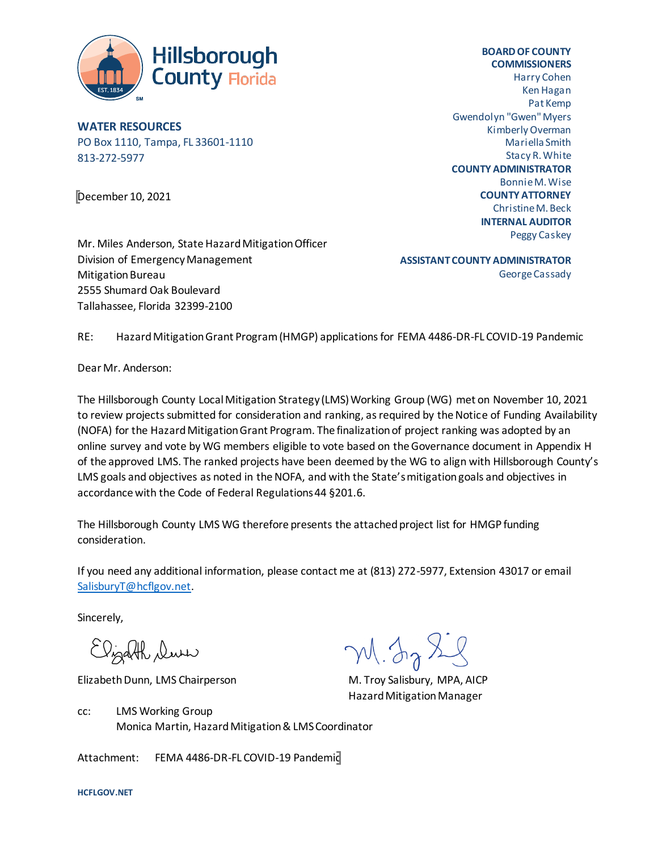

**WATER RESOURCES** PO Box 1110, Tampa, FL 33601-1110 813-272-5977

December 10, 2021

**BOARD OF COUNTY COMMISSIONERS** Harry Cohen Ken Hagan Pat Kemp Gwendolyn "Gwen" Myers Kimberly Overman Mariella Smith Stacy R. White **COUNTY ADMINISTRATOR** Bonnie M. Wise **COUNTY ATTORNEY** Christine M. Beck **INTERNAL AUDITOR** Peggy Caskey

Mr. Miles Anderson, State Hazard Mitigation Officer Division of Emergency Management Mitigation Bureau 2555 Shumard Oak Boulevard Tallahassee, Florida 32399-2100

**ASSISTANT COUNTY ADMINISTRATOR** George Cassady

RE: Hazard Mitigation Grant Program (HMGP) applications for FEMA 4486-DR-FL COVID-19 Pandemic

Dear Mr. Anderson:

The Hillsborough County Local Mitigation Strategy (LMS) Working Group (WG) met on November 10, 2021 to review projects submitted for consideration and ranking, as required by the Notice of Funding Availability (NOFA) for the Hazard Mitigation Grant Program. The finalization of project ranking was adopted by an online survey and vote by WG members eligible to vote based on the Governance document in Appendix H of the approved LMS. The ranked projects have been deemed by the WG to align with Hillsborough County's LMS goals and objectives as noted in the NOFA, and with the State's mitigation goals and objectives in accordance with the Code of Federal Regulations 44 §201.6.

The Hillsborough County LMS WG therefore presents the attached project list for HMGP funding consideration.

If you need any additional information, please contact me at (813) 272-5977, Extension 43017 or email [SalisburyT@hcflgov.net.](mailto:SalisburyT@hcflgov.net)

Sincerely,

Elizabeth Duri

Elizabeth Dunn, LMS Chairperson M. Troy Salisbury, MPA, AICP

M. In X.

Hazard Mitigation Manager

cc: LMS Working Group Monica Martin, Hazard Mitigation & LMS Coordinator

Attachment: FEMA 4486-DR-FL COVID-19 Pandemic

**HCFLGOV.NET**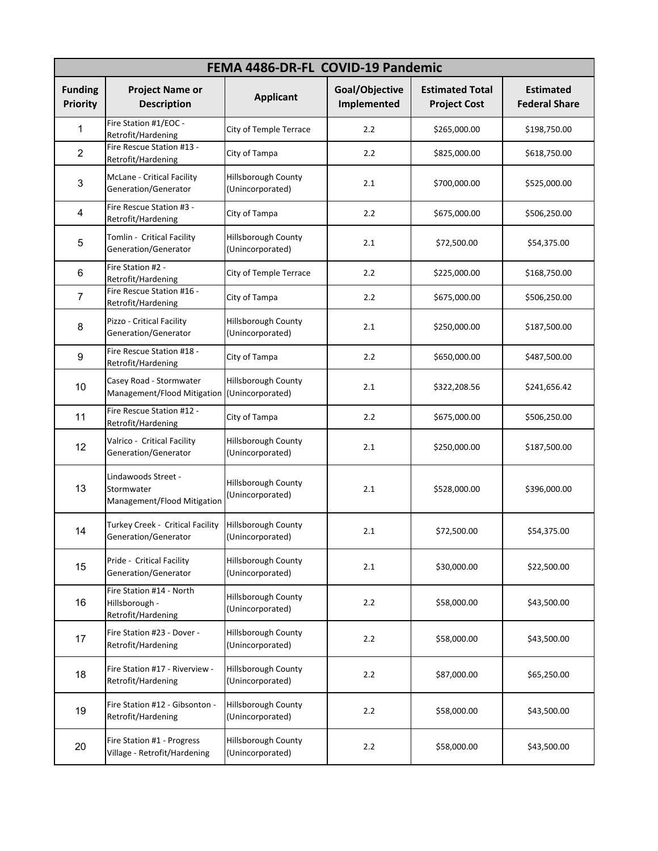| FEMA 4486-DR-FL COVID-19 Pandemic |                                                                  |                                                |                               |                                               |                                          |  |  |  |  |
|-----------------------------------|------------------------------------------------------------------|------------------------------------------------|-------------------------------|-----------------------------------------------|------------------------------------------|--|--|--|--|
| <b>Funding</b><br><b>Priority</b> | <b>Project Name or</b><br><b>Description</b>                     | <b>Applicant</b>                               | Goal/Objective<br>Implemented | <b>Estimated Total</b><br><b>Project Cost</b> | <b>Estimated</b><br><b>Federal Share</b> |  |  |  |  |
| 1                                 | Fire Station #1/EOC -<br>Retrofit/Hardening                      | City of Temple Terrace                         | 2.2                           | \$265,000.00                                  | \$198,750.00                             |  |  |  |  |
| $\overline{2}$                    | Fire Rescue Station #13 -<br>Retrofit/Hardening                  | City of Tampa                                  | 2.2                           | \$825,000.00                                  | \$618,750.00                             |  |  |  |  |
| 3                                 | <b>McLane - Critical Facility</b><br>Generation/Generator        | <b>Hillsborough County</b><br>(Unincorporated) | 2.1                           | \$700,000.00                                  | \$525,000.00                             |  |  |  |  |
| 4                                 | Fire Rescue Station #3 -<br>Retrofit/Hardening                   | City of Tampa                                  | 2.2                           | \$675,000.00                                  | \$506,250.00                             |  |  |  |  |
| 5                                 | Tomlin - Critical Facility<br>Generation/Generator               | Hillsborough County<br>(Unincorporated)        | 2.1                           | \$72,500.00                                   | \$54,375.00                              |  |  |  |  |
| 6                                 | Fire Station #2 -<br>Retrofit/Hardening                          | City of Temple Terrace                         | 2.2                           | \$225,000.00                                  | \$168,750.00                             |  |  |  |  |
| $\overline{7}$                    | Fire Rescue Station #16 -<br>Retrofit/Hardening                  | City of Tampa                                  | 2.2                           | \$675,000.00                                  | \$506,250.00                             |  |  |  |  |
| 8                                 | Pizzo - Critical Facility<br>Generation/Generator                | Hillsborough County<br>(Unincorporated)        | 2.1                           | \$250,000.00                                  | \$187,500.00                             |  |  |  |  |
| 9                                 | Fire Rescue Station #18 -<br>Retrofit/Hardening                  | City of Tampa                                  | 2.2                           | \$650,000.00                                  | \$487,500.00                             |  |  |  |  |
| 10                                | Casey Road - Stormwater<br>Management/Flood Mitigation           | Hillsborough County<br>(Unincorporated)        | 2.1                           | \$322,208.56                                  | \$241,656.42                             |  |  |  |  |
| 11                                | Fire Rescue Station #12 -<br>Retrofit/Hardening                  | City of Tampa                                  | 2.2                           | \$675,000.00                                  | \$506,250.00                             |  |  |  |  |
| 12                                | Valrico - Critical Facility<br>Generation/Generator              | Hillsborough County<br>(Unincorporated)        | 2.1                           | \$250,000.00                                  | \$187,500.00                             |  |  |  |  |
| 13                                | Lindawoods Street -<br>Stormwater<br>Management/Flood Mitigation | Hillsborough County<br>(Unincorporated)        | 2.1                           | \$528,000.00                                  | \$396,000.00                             |  |  |  |  |
| 14                                | Turkey Creek - Critical Facility<br>Generation/Generator         | Hillsborough County<br>(Unincorporated)        | 2.1                           | \$72,500.00                                   | \$54,375.00                              |  |  |  |  |
| 15                                | Pride - Critical Facility<br>Generation/Generator                | Hillsborough County<br>(Unincorporated)        | 2.1                           | \$30,000.00                                   | \$22,500.00                              |  |  |  |  |
| 16                                | Fire Station #14 - North<br>Hillsborough -<br>Retrofit/Hardening | Hillsborough County<br>(Unincorporated)        | 2.2                           | \$58,000.00                                   | \$43,500.00                              |  |  |  |  |
| 17                                | Fire Station #23 - Dover -<br>Retrofit/Hardening                 | <b>Hillsborough County</b><br>(Unincorporated) | 2.2                           | \$58,000.00                                   | \$43,500.00                              |  |  |  |  |
| 18                                | Fire Station #17 - Riverview -<br>Retrofit/Hardening             | <b>Hillsborough County</b><br>(Unincorporated) | $2.2\,$                       | \$87,000.00                                   | \$65,250.00                              |  |  |  |  |
| 19                                | Fire Station #12 - Gibsonton -<br>Retrofit/Hardening             | Hillsborough County<br>(Unincorporated)        | 2.2                           | \$58,000.00                                   | \$43,500.00                              |  |  |  |  |
| 20                                | Fire Station #1 - Progress<br>Village - Retrofit/Hardening       | Hillsborough County<br>(Unincorporated)        | 2.2                           | \$58,000.00                                   | \$43,500.00                              |  |  |  |  |